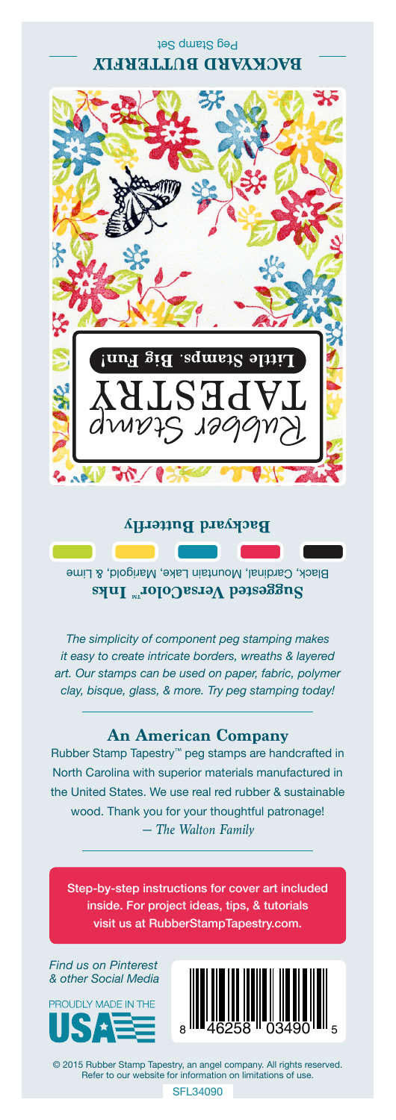## Peg Stamp Set **BACKYARD BUTTERFLY**



#### **Backyard Butterfly**

Black, Cardinal, Mountain Lake, Marigold, & Lime **Suggested VersaColor** Inks

*The simplicity of component peg stamping makes it easy to create intricate borders, wreaths & layered art. Our stamps can be used on paper, fabric, polymer clay, bisque, glass, & more. Try peg stamping today!*

#### **An American Company**

*— The Walton Family* Rubber Stamp Tapestry™ peg stamps are handcrafted in North Carolina with superior materials manufactured in the United States. We use real red rubber & sustainable wood. Thank you for your thoughtful patronage!

Step-by-step instructions for cover art included inside. For project ideas, tips, & tutorials visit us at RubberStampTapestry.com.

*Find us on Pinterest & other Social Media*





© 2015 Rubber Stamp Tapestry, an angel company. All rights reserved. Refer to our website for information on limitations of use.